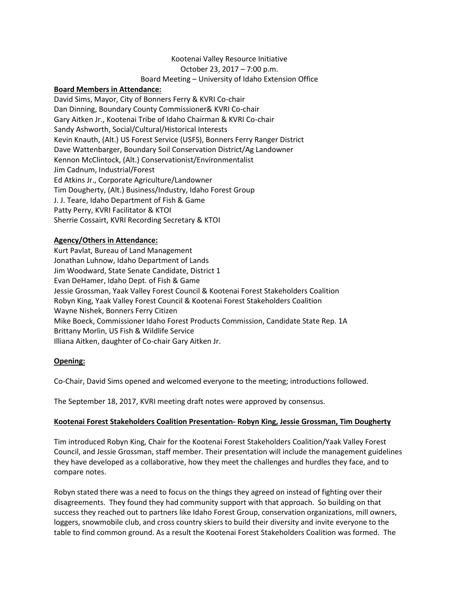#### Kootenai Valley Resource Initiative

October 23, 2017 – 7:00 p.m.

#### Board Meeting – University of Idaho Extension Office

#### **Board Members in Attendance:**

David Sims, Mayor, City of Bonners Ferry & KVRI Co-chair Dan Dinning, Boundary County Commissioner& KVRI Co-chair Gary Aitken Jr., Kootenai Tribe of Idaho Chairman & KVRI Co-chair Sandy Ashworth, Social/Cultural/Historical Interests Kevin Knauth, (Alt.) US Forest Service (USFS), Bonners Ferry Ranger District Dave Wattenbarger, Boundary Soil Conservation District/Ag Landowner Kennon McClintock, (Alt.) Conservationist/Environmentalist Jim Cadnum, Industrial/Forest Ed Atkins Jr., Corporate Agriculture/Landowner Tim Dougherty, (Alt.) Business/Industry, Idaho Forest Group J. J. Teare, Idaho Department of Fish & Game Patty Perry, KVRI Facilitator & KTOI Sherrie Cossairt, KVRI Recording Secretary & KTOI

#### **Agency/Others in Attendance:**

Kurt Pavlat, Bureau of Land Management Jonathan Luhnow, Idaho Department of Lands Jim Woodward, State Senate Candidate, District 1 Evan DeHamer, Idaho Dept. of Fish & Game Jessie Grossman, Yaak Valley Forest Council & Kootenai Forest Stakeholders Coalition Robyn King, Yaak Valley Forest Council & Kootenai Forest Stakeholders Coalition Wayne Nishek, Bonners Ferry Citizen Mike Boeck, Commissioner Idaho Forest Products Commission, Candidate State Rep. 1A Brittany Morlin, US Fish & Wildlife Service Illiana Aitken, daughter of Co-chair Gary Aitken Jr.

### **Opening:**

Co-Chair, David Sims opened and welcomed everyone to the meeting; introductions followed.

The September 18, 2017, KVRI meeting draft notes were approved by consensus.

#### **Kootenai Forest Stakeholders Coalition Presentation- Robyn King, Jessie Grossman, Tim Dougherty**

Tim introduced Robyn King, Chair for the Kootenai Forest Stakeholders Coalition/Yaak Valley Forest Council, and Jessie Grossman, staff member. Their presentation will include the management guidelines they have developed as a collaborative, how they meet the challenges and hurdles they face, and to compare notes.

Robyn stated there was a need to focus on the things they agreed on instead of fighting over their disagreements. They found they had community support with that approach. So building on that success they reached out to partners like Idaho Forest Group, conservation organizations, mill owners, loggers, snowmobile club, and cross country skiers to build their diversity and invite everyone to the table to find common ground. As a result the Kootenai Forest Stakeholders Coalition was formed. The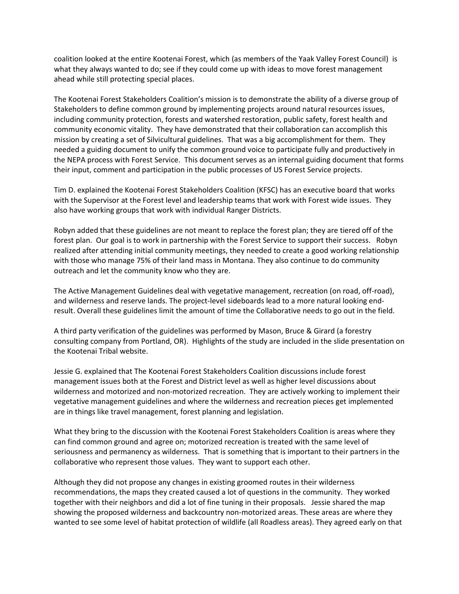coalition looked at the entire Kootenai Forest, which (as members of the Yaak Valley Forest Council) is what they always wanted to do; see if they could come up with ideas to move forest management ahead while still protecting special places.

The Kootenai Forest Stakeholders Coalition's mission is to demonstrate the ability of a diverse group of Stakeholders to define common ground by implementing projects around natural resources issues, including community protection, forests and watershed restoration, public safety, forest health and community economic vitality. They have demonstrated that their collaboration can accomplish this mission by creating a set of Silvicultural guidelines. That was a big accomplishment for them. They needed a guiding document to unify the common ground voice to participate fully and productively in the NEPA process with Forest Service. This document serves as an internal guiding document that forms their input, comment and participation in the public processes of US Forest Service projects.

Tim D. explained the Kootenai Forest Stakeholders Coalition (KFSC) has an executive board that works with the Supervisor at the Forest level and leadership teams that work with Forest wide issues. They also have working groups that work with individual Ranger Districts.

Robyn added that these guidelines are not meant to replace the forest plan; they are tiered off of the forest plan. Our goal is to work in partnership with the Forest Service to support their success. Robyn realized after attending initial community meetings, they needed to create a good working relationship with those who manage 75% of their land mass in Montana. They also continue to do community outreach and let the community know who they are.

The Active Management Guidelines deal with vegetative management, recreation (on road, off-road), and wilderness and reserve lands. The project-level sideboards lead to a more natural looking endresult. Overall these guidelines limit the amount of time the Collaborative needs to go out in the field.

A third party verification of the guidelines was performed by Mason, Bruce & Girard (a forestry consulting company from Portland, OR). Highlights of the study are included in the slide presentation on the Kootenai Tribal website.

Jessie G. explained that The Kootenai Forest Stakeholders Coalition discussions include forest management issues both at the Forest and District level as well as higher level discussions about wilderness and motorized and non-motorized recreation. They are actively working to implement their vegetative management guidelines and where the wilderness and recreation pieces get implemented are in things like travel management, forest planning and legislation.

What they bring to the discussion with the Kootenai Forest Stakeholders Coalition is areas where they can find common ground and agree on; motorized recreation is treated with the same level of seriousness and permanency as wilderness. That is something that is important to their partners in the collaborative who represent those values. They want to support each other.

Although they did not propose any changes in existing groomed routes in their wilderness recommendations, the maps they created caused a lot of questions in the community. They worked together with their neighbors and did a lot of fine tuning in their proposals. Jessie shared the map showing the proposed wilderness and backcountry non-motorized areas. These areas are where they wanted to see some level of habitat protection of wildlife (all Roadless areas). They agreed early on that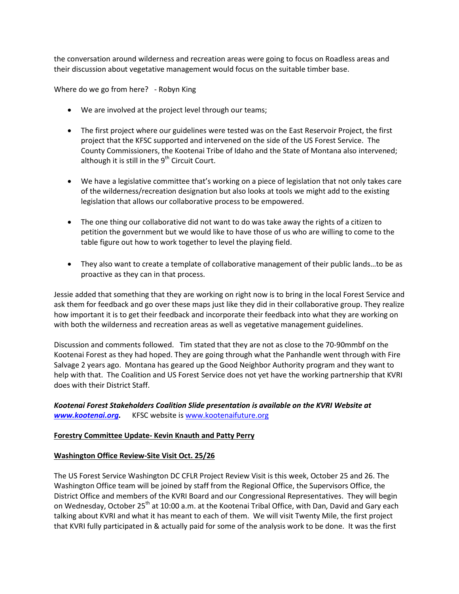the conversation around wilderness and recreation areas were going to focus on Roadless areas and their discussion about vegetative management would focus on the suitable timber base.

Where do we go from here? - Robyn King

- We are involved at the project level through our teams;
- The first project where our guidelines were tested was on the East Reservoir Project, the first project that the KFSC supported and intervened on the side of the US Forest Service. The County Commissioners, the Kootenai Tribe of Idaho and the State of Montana also intervened; although it is still in the  $9<sup>th</sup>$  Circuit Court.
- We have a legislative committee that's working on a piece of legislation that not only takes care of the wilderness/recreation designation but also looks at tools we might add to the existing legislation that allows our collaborative process to be empowered.
- The one thing our collaborative did not want to do was take away the rights of a citizen to petition the government but we would like to have those of us who are willing to come to the table figure out how to work together to level the playing field.
- They also want to create a template of collaborative management of their public lands…to be as proactive as they can in that process.

Jessie added that something that they are working on right now is to bring in the local Forest Service and ask them for feedback and go over these maps just like they did in their collaborative group. They realize how important it is to get their feedback and incorporate their feedback into what they are working on with both the wilderness and recreation areas as well as vegetative management guidelines.

Discussion and comments followed. Tim stated that they are not as close to the 70-90mmbf on the Kootenai Forest as they had hoped. They are going through what the Panhandle went through with Fire Salvage 2 years ago. Montana has geared up the Good Neighbor Authority program and they want to help with that. The Coalition and US Forest Service does not yet have the working partnership that KVRI does with their District Staff.

*Kootenai Forest Stakeholders Coalition Slide presentation is available on the KVRI Website at*  **[www.kootenai.org.](http://www.kootenai.org/)** KFSC website is [www.kootenaifuture.org](http://www.kootenaifuture.org/)

### **Forestry Committee Update- Kevin Knauth and Patty Perry**

### **Washington Office Review-Site Visit Oct. 25/26**

The US Forest Service Washington DC CFLR Project Review Visit is this week, October 25 and 26. The Washington Office team will be joined by staff from the Regional Office, the Supervisors Office, the District Office and members of the KVRI Board and our Congressional Representatives. They will begin on Wednesday, October 25<sup>th</sup> at 10:00 a.m. at the Kootenai Tribal Office, with Dan, David and Gary each talking about KVRI and what it has meant to each of them. We will visit Twenty Mile, the first project that KVRI fully participated in & actually paid for some of the analysis work to be done. It was the first